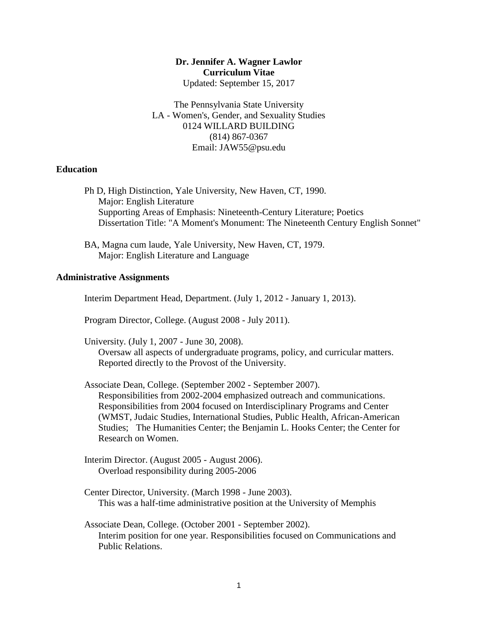## **Dr. Jennifer A. Wagner Lawlor Curriculum Vitae** Updated: September 15, 2017

The Pennsylvania State University LA - Women's, Gender, and Sexuality Studies 0124 WILLARD BUILDING (814) 867-0367 Email: JAW55@psu.edu

# **Education**

Ph D, High Distinction, Yale University, New Haven, CT, 1990. Major: English Literature Supporting Areas of Emphasis: Nineteenth-Century Literature; Poetics Dissertation Title: "A Moment's Monument: The Nineteenth Century English Sonnet"

BA, Magna cum laude, Yale University, New Haven, CT, 1979. Major: English Literature and Language

#### **Administrative Assignments**

Interim Department Head, Department. (July 1, 2012 - January 1, 2013).

Program Director, College. (August 2008 - July 2011).

University. (July 1, 2007 - June 30, 2008).

Oversaw all aspects of undergraduate programs, policy, and curricular matters. Reported directly to the Provost of the University.

Associate Dean, College. (September 2002 - September 2007). Responsibilities from 2002-2004 emphasized outreach and communications. Responsibilities from 2004 focused on Interdisciplinary Programs and Center (WMST, Judaic Studies, International Studies, Public Health, African-American Studies; The Humanities Center; the Benjamin L. Hooks Center; the Center for Research on Women.

- Interim Director. (August 2005 August 2006). Overload responsibility during 2005-2006
- Center Director, University. (March 1998 June 2003). This was a half-time administrative position at the University of Memphis
- Associate Dean, College. (October 2001 September 2002). Interim position for one year. Responsibilities focused on Communications and Public Relations.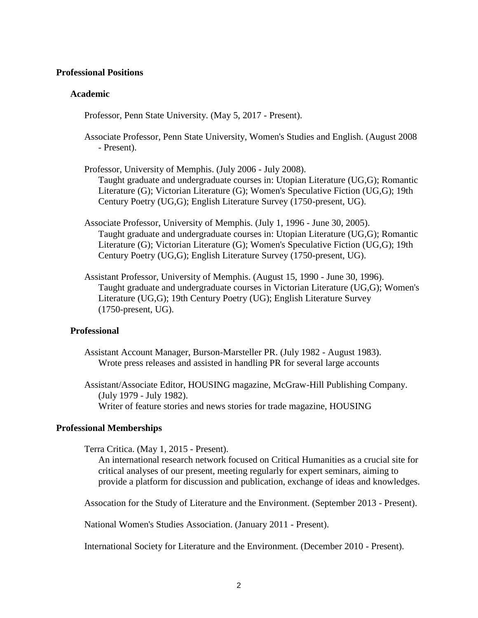#### **Professional Positions**

### **Academic**

Professor, Penn State University. (May 5, 2017 - Present).

- Associate Professor, Penn State University, Women's Studies and English. (August 2008 - Present).
- Professor, University of Memphis. (July 2006 July 2008). Taught graduate and undergraduate courses in: Utopian Literature (UG,G); Romantic Literature (G); Victorian Literature (G); Women's Speculative Fiction (UG,G); 19th Century Poetry (UG,G); English Literature Survey (1750-present, UG).
- Associate Professor, University of Memphis. (July 1, 1996 June 30, 2005). Taught graduate and undergraduate courses in: Utopian Literature (UG,G); Romantic Literature (G); Victorian Literature (G); Women's Speculative Fiction (UG,G); 19th Century Poetry (UG,G); English Literature Survey (1750-present, UG).
- Assistant Professor, University of Memphis. (August 15, 1990 June 30, 1996). Taught graduate and undergraduate courses in Victorian Literature (UG,G); Women's Literature (UG,G); 19th Century Poetry (UG); English Literature Survey (1750-present, UG).

### **Professional**

Assistant Account Manager, Burson-Marsteller PR. (July 1982 - August 1983). Wrote press releases and assisted in handling PR for several large accounts

Assistant/Associate Editor, HOUSING magazine, McGraw-Hill Publishing Company. (July 1979 - July 1982). Writer of feature stories and news stories for trade magazine, HOUSING

#### **Professional Memberships**

Terra Critica. (May 1, 2015 - Present).

An international research network focused on Critical Humanities as a crucial site for critical analyses of our present, meeting regularly for expert seminars, aiming to provide a platform for discussion and publication, exchange of ideas and knowledges.

Assocation for the Study of Literature and the Environment. (September 2013 - Present).

National Women's Studies Association. (January 2011 - Present).

International Society for Literature and the Environment. (December 2010 - Present).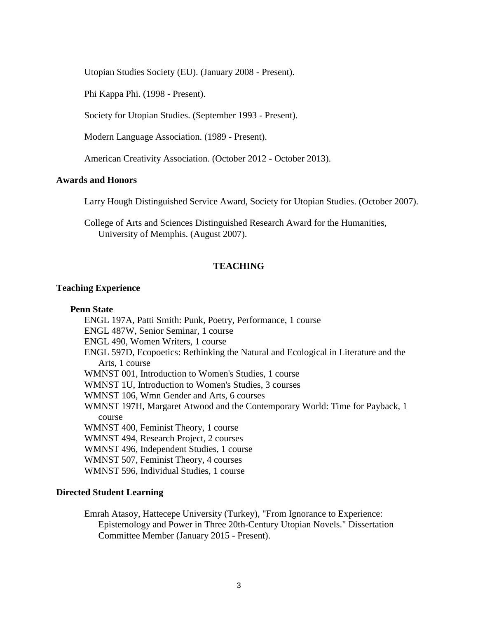Utopian Studies Society (EU). (January 2008 - Present).

Phi Kappa Phi. (1998 - Present).

Society for Utopian Studies. (September 1993 - Present).

Modern Language Association. (1989 - Present).

American Creativity Association. (October 2012 - October 2013).

## **Awards and Honors**

Larry Hough Distinguished Service Award, Society for Utopian Studies. (October 2007).

College of Arts and Sciences Distinguished Research Award for the Humanities, University of Memphis. (August 2007).

### **TEACHING**

### **Teaching Experience**

#### **Penn State**

ENGL 197A, Patti Smith: Punk, Poetry, Performance, 1 course ENGL 487W, Senior Seminar, 1 course ENGL 490, Women Writers, 1 course ENGL 597D, Ecopoetics: Rethinking the Natural and Ecological in Literature and the Arts, 1 course WMNST 001, Introduction to Women's Studies, 1 course WMNST 1U, Introduction to Women's Studies, 3 courses WMNST 106, Wmn Gender and Arts, 6 courses WMNST 197H, Margaret Atwood and the Contemporary World: Time for Payback, 1 course WMNST 400, Feminist Theory, 1 course WMNST 494, Research Project, 2 courses WMNST 496, Independent Studies, 1 course WMNST 507, Feminist Theory, 4 courses WMNST 596, Individual Studies, 1 course

#### **Directed Student Learning**

Emrah Atasoy, Hattecepe University (Turkey), "From Ignorance to Experience: Epistemology and Power in Three 20th-Century Utopian Novels." Dissertation Committee Member (January 2015 - Present).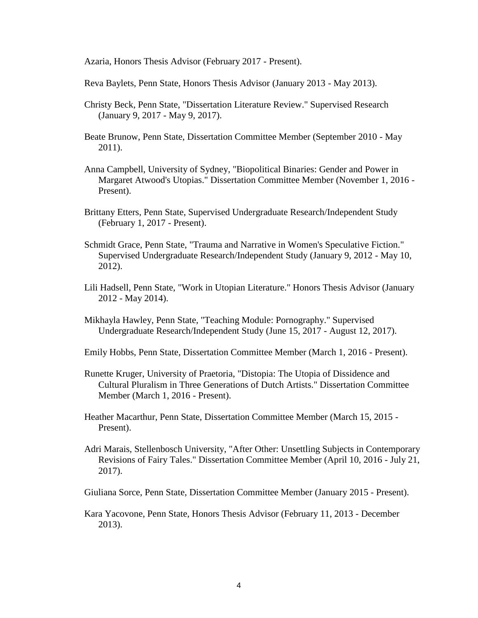Azaria, Honors Thesis Advisor (February 2017 - Present).

Reva Baylets, Penn State, Honors Thesis Advisor (January 2013 - May 2013).

- Christy Beck, Penn State, "Dissertation Literature Review." Supervised Research (January 9, 2017 - May 9, 2017).
- Beate Brunow, Penn State, Dissertation Committee Member (September 2010 May 2011).
- Anna Campbell, University of Sydney, "Biopolitical Binaries: Gender and Power in Margaret Atwood's Utopias." Dissertation Committee Member (November 1, 2016 - Present).
- Brittany Etters, Penn State, Supervised Undergraduate Research/Independent Study (February 1, 2017 - Present).
- Schmidt Grace, Penn State, "Trauma and Narrative in Women's Speculative Fiction." Supervised Undergraduate Research/Independent Study (January 9, 2012 - May 10, 2012).
- Lili Hadsell, Penn State, "Work in Utopian Literature." Honors Thesis Advisor (January 2012 - May 2014).
- Mikhayla Hawley, Penn State, "Teaching Module: Pornography." Supervised Undergraduate Research/Independent Study (June 15, 2017 - August 12, 2017).
- Emily Hobbs, Penn State, Dissertation Committee Member (March 1, 2016 Present).
- Runette Kruger, University of Praetoria, "Distopia: The Utopia of Dissidence and Cultural Pluralism in Three Generations of Dutch Artists." Dissertation Committee Member (March 1, 2016 - Present).
- Heather Macarthur, Penn State, Dissertation Committee Member (March 15, 2015 Present).
- Adri Marais, Stellenbosch University, "After Other: Unsettling Subjects in Contemporary Revisions of Fairy Tales." Dissertation Committee Member (April 10, 2016 - July 21, 2017).

Giuliana Sorce, Penn State, Dissertation Committee Member (January 2015 - Present).

Kara Yacovone, Penn State, Honors Thesis Advisor (February 11, 2013 - December 2013).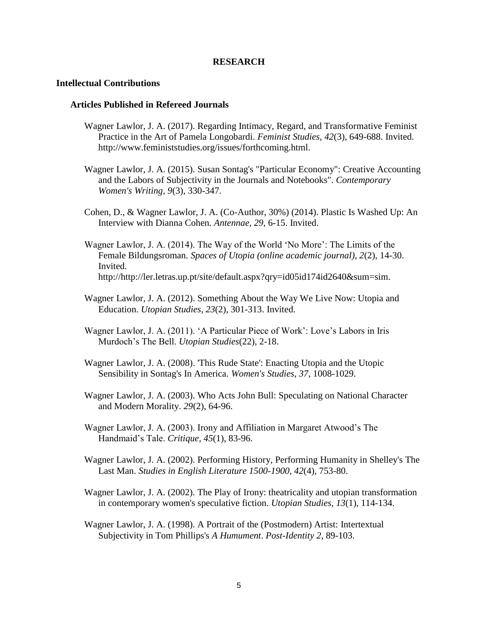#### **RESEARCH**

#### **Intellectual Contributions**

#### **Articles Published in Refereed Journals**

- Wagner Lawlor, J. A. (2017). Regarding Intimacy, Regard, and Transformative Feminist Practice in the Art of Pamela Longobardi. *Feminist Studies, 42*(3), 649-688. Invited. http://www.feministstudies.org/issues/forthcoming.html.
- Wagner Lawlor, J. A. (2015). Susan Sontag's "Particular Economy": Creative Accounting and the Labors of Subjectivity in the Journals and Notebooks". *Contemporary Women's Writing, 9*(3), 330-347.
- Cohen, D., & Wagner Lawlor, J. A. (Co-Author, 30%) (2014). Plastic Is Washed Up: An Interview with Dianna Cohen. *Antennae, 29*, 6-15. Invited.
- Wagner Lawlor, J. A. (2014). The Way of the World 'No More': The Limits of the Female Bildungsroman. *Spaces of Utopia (online academic journal), 2*(2), 14-30. Invited. http://http://ler.letras.up.pt/site/default.aspx?qry=id05id174id2640&sum=sim.
- Wagner Lawlor, J. A. (2012). Something About the Way We Live Now: Utopia and Education. *Utopian Studies, 23*(2), 301-313. Invited.
- Wagner Lawlor, J. A. (2011). 'A Particular Piece of Work': Love's Labors in Iris Murdoch's The Bell. *Utopian Studies*(22), 2-18.
- Wagner Lawlor, J. A. (2008). 'This Rude State': Enacting Utopia and the Utopic Sensibility in Sontag's In America. *Women's Studies, 37*, 1008-1029.
- Wagner Lawlor, J. A. (2003). Who Acts John Bull: Speculating on National Character and Modern Morality. *29*(2), 64-96.
- Wagner Lawlor, J. A. (2003). Irony and Affiliation in Margaret Atwood's The Handmaid's Tale. *Critique, 45*(1), 83-96.
- Wagner Lawlor, J. A. (2002). Performing History, Performing Humanity in Shelley's The Last Man. *Studies in English Literature 1500-1900, 42*(4), 753-80.
- Wagner Lawlor, J. A. (2002). The Play of Irony: theatricality and utopian transformation in contemporary women's speculative fiction. *Utopian Studies, 13*(1), 114-134.
- Wagner Lawlor, J. A. (1998). A Portrait of the (Postmodern) Artist: Intertextual Subjectivity in Tom Phillips's *A Humument*. *Post-Identity 2*, 89-103.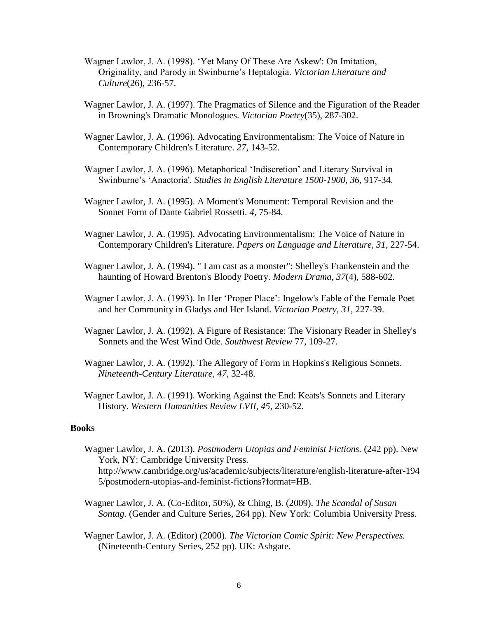- Wagner Lawlor, J. A. (1998). 'Yet Many Of These Are Askew': On Imitation, Originality, and Parody in Swinburne's Heptalogia. *Victorian Literature and Culture*(26), 236-57.
- Wagner Lawlor, J. A. (1997). The Pragmatics of Silence and the Figuration of the Reader in Browning's Dramatic Monologues. *Victorian Poetry*(35), 287-302.
- Wagner Lawlor, J. A. (1996). Advocating Environmentalism: The Voice of Nature in Contemporary Children's Literature. *27*, 143-52.
- Wagner Lawlor, J. A. (1996). Metaphorical 'Indiscretion' and Literary Survival in Swinburne's 'Anactoria'. *Studies in English Literature 1500-1900, 36*, 917-34.
- Wagner Lawlor, J. A. (1995). A Moment's Monument: Temporal Revision and the Sonnet Form of Dante Gabriel Rossetti. *4*, 75-84.
- Wagner Lawlor, J. A. (1995). Advocating Environmentalism: The Voice of Nature in Contemporary Children's Literature. *Papers on Language and Literature, 31*, 227-54.
- Wagner Lawlor, J. A. (1994). " I am cast as a monster": Shelley's Frankenstein and the haunting of Howard Brenton's Bloody Poetry. *Modern Drama, 37*(4), 588-602.
- Wagner Lawlor, J. A. (1993). In Her 'Proper Place': Ingelow's Fable of the Female Poet and her Community in Gladys and Her Island. *Victorian Poetry, 31*, 227-39.
- Wagner Lawlor, J. A. (1992). A Figure of Resistance: The Visionary Reader in Shelley's Sonnets and the West Wind Ode. *Southwest Review* 77, 109-27.
- Wagner Lawlor, J. A. (1992). The Allegory of Form in Hopkins's Religious Sonnets. *Nineteenth-Century Literature, 47*, 32-48.
- Wagner Lawlor, J. A. (1991). Working Against the End: Keats's Sonnets and Literary History. *Western Humanities Review LVII, 45*, 230-52.

#### **Books**

- Wagner Lawlor, J. A. (2013). *Postmodern Utopias and Feminist Fictions.* (242 pp). New York, NY: Cambridge University Press. http://www.cambridge.org/us/academic/subjects/literature/english-literature-after-194 5/postmodern-utopias-and-feminist-fictions?format=HB.
- Wagner Lawlor, J. A. (Co-Editor, 50%), & Ching, B. (2009). *The Scandal of Susan Sontag.* (Gender and Culture Series, 264 pp). New York: Columbia University Press.
- Wagner Lawlor, J. A. (Editor) (2000). *The Victorian Comic Spirit: New Perspectives.* (Nineteenth-Century Series, 252 pp). UK: Ashgate.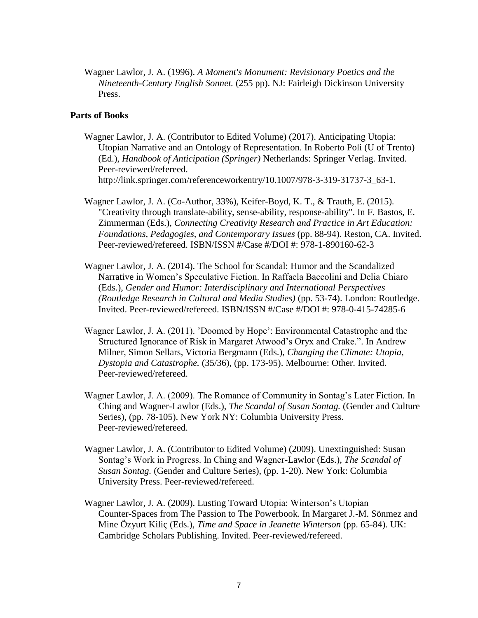Wagner Lawlor, J. A. (1996). *A Moment's Monument: Revisionary Poetics and the Nineteenth-Century English Sonnet.* (255 pp). NJ: Fairleigh Dickinson University Press.

### **Parts of Books**

- Wagner Lawlor, J. A. (Contributor to Edited Volume) (2017). Anticipating Utopia: Utopian Narrative and an Ontology of Representation. In Roberto Poli (U of Trento) (Ed.), *Handbook of Anticipation (Springer)* Netherlands: Springer Verlag. Invited. Peer-reviewed/refereed. http://link.springer.com/referenceworkentry/10.1007/978-3-319-31737-3\_63-1.
- Wagner Lawlor, J. A. (Co-Author, 33%), Keifer-Boyd, K. T., & Trauth, E. (2015). "Creativity through translate-ability, sense-ability, response-ability". In F. Bastos, E. Zimmerman (Eds.), *Connecting Creativity Research and Practice in Art Education: Foundations, Pedagogies, and Contemporary Issues* (pp. 88-94). Reston, CA. Invited. Peer-reviewed/refereed. ISBN/ISSN #/Case #/DOI #: 978-1-890160-62-3
- Wagner Lawlor, J. A. (2014). The School for Scandal: Humor and the Scandalized Narrative in Women's Speculative Fiction. In Raffaela Baccolini and Delia Chiaro (Eds.), *Gender and Humor: Interdisciplinary and International Perspectives (Routledge Research in Cultural and Media Studies)* (pp. 53-74). London: Routledge. Invited. Peer-reviewed/refereed. ISBN/ISSN #/Case #/DOI #: 978-0-415-74285-6
- Wagner Lawlor, J. A. (2011). 'Doomed by Hope': Environmental Catastrophe and the Structured Ignorance of Risk in Margaret Atwood's Oryx and Crake.". In Andrew Milner, Simon Sellars, Victoria Bergmann (Eds.), *Changing the Climate: Utopia, Dystopia and Catastrophe.* (35/36), (pp. 173-95). Melbourne: Other. Invited. Peer-reviewed/refereed.
- Wagner Lawlor, J. A. (2009). The Romance of Community in Sontag's Later Fiction. In Ching and Wagner-Lawlor (Eds.), *The Scandal of Susan Sontag.* (Gender and Culture Series), (pp. 78-105). New York NY: Columbia University Press. Peer-reviewed/refereed.
- Wagner Lawlor, J. A. (Contributor to Edited Volume) (2009). Unextinguished: Susan Sontag's Work in Progress. In Ching and Wagner-Lawlor (Eds.), *The Scandal of Susan Sontag.* (Gender and Culture Series), (pp. 1-20). New York: Columbia University Press. Peer-reviewed/refereed.
- Wagner Lawlor, J. A. (2009). Lusting Toward Utopia: Winterson's Utopian Counter-Spaces from The Passion to The Powerbook. In Margaret J.-M. Sönmez and Mine Özyurt Kiliç (Eds.), *Time and Space in Jeanette Winterson* (pp. 65-84). UK: Cambridge Scholars Publishing. Invited. Peer-reviewed/refereed.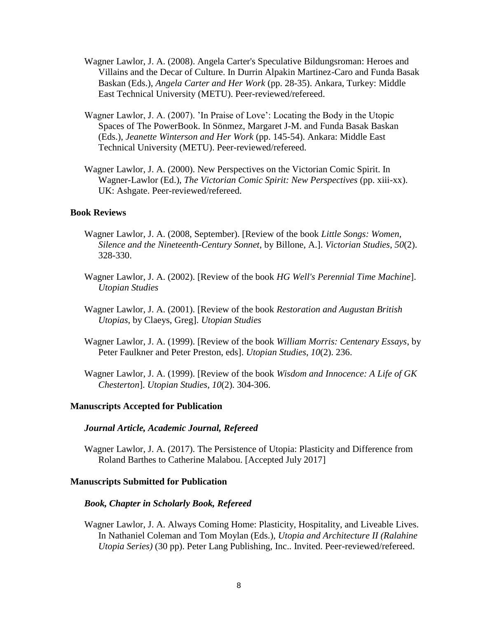- Wagner Lawlor, J. A. (2008). Angela Carter's Speculative Bildungsroman: Heroes and Villains and the Decar of Culture. In Durrin Alpakin Martinez-Caro and Funda Basak Baskan (Eds.), *Angela Carter and Her Work* (pp. 28-35). Ankara, Turkey: Middle East Technical University (METU). Peer-reviewed/refereed.
- Wagner Lawlor, J. A. (2007). 'In Praise of Love': Locating the Body in the Utopic Spaces of The PowerBook. In Sönmez, Margaret J-M. and Funda Basak Baskan (Eds.), *Jeanette Winterson and Her Work* (pp. 145-54). Ankara: Middle East Technical University (METU). Peer-reviewed/refereed.
- Wagner Lawlor, J. A. (2000). New Perspectives on the Victorian Comic Spirit. In Wagner-Lawlor (Ed.), *The Victorian Comic Spirit: New Perspectives* (pp. xiii-xx). UK: Ashgate. Peer-reviewed/refereed.

#### **Book Reviews**

- Wagner Lawlor, J. A. (2008, September). [Review of the book *Little Songs: Women, Silence and the Nineteenth-Century Sonnet*, by Billone, A.]. *Victorian Studies*, *50*(2). 328-330.
- Wagner Lawlor, J. A. (2002). [Review of the book *HG Well's Perennial Time Machine*]. *Utopian Studies*
- Wagner Lawlor, J. A. (2001). [Review of the book *Restoration and Augustan British Utopias*, by Claeys, Greg]. *Utopian Studies*
- Wagner Lawlor, J. A. (1999). [Review of the book *William Morris: Centenary Essays*, by Peter Faulkner and Peter Preston, eds]. *Utopian Studies*, *10*(2). 236.
- Wagner Lawlor, J. A. (1999). [Review of the book *Wisdom and Innocence: A Life of GK Chesterton*]. *Utopian Studies*, *10*(2). 304-306.

#### **Manuscripts Accepted for Publication**

#### *Journal Article, Academic Journal, Refereed*

Wagner Lawlor, J. A. (2017). The Persistence of Utopia: Plasticity and Difference from Roland Barthes to Catherine Malabou. [Accepted July 2017]

### **Manuscripts Submitted for Publication**

#### *Book, Chapter in Scholarly Book, Refereed*

Wagner Lawlor, J. A. Always Coming Home: Plasticity, Hospitality, and Liveable Lives. In Nathaniel Coleman and Tom Moylan (Eds.), *Utopia and Architecture II (Ralahine Utopia Series)* (30 pp). Peter Lang Publishing, Inc.. Invited. Peer-reviewed/refereed.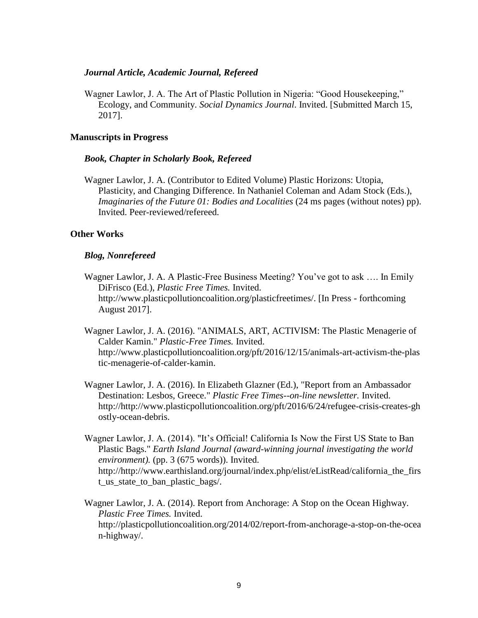### *Journal Article, Academic Journal, Refereed*

Wagner Lawlor, J. A. The Art of Plastic Pollution in Nigeria: "Good Housekeeping," Ecology, and Community. *Social Dynamics Journal*. Invited. [Submitted March 15, 2017].

### **Manuscripts in Progress**

#### *Book, Chapter in Scholarly Book, Refereed*

Wagner Lawlor, J. A. (Contributor to Edited Volume) Plastic Horizons: Utopia, Plasticity, and Changing Difference. In Nathaniel Coleman and Adam Stock (Eds.), *Imaginaries of the Future 01: Bodies and Localities* (24 ms pages (without notes) pp). Invited. Peer-reviewed/refereed.

### **Other Works**

#### *Blog, Nonrefereed*

- Wagner Lawlor, J. A. A Plastic-Free Business Meeting? You've got to ask …. In Emily DiFrisco (Ed.), *Plastic Free Times.* Invited. http://www.plasticpollutioncoalition.org/plasticfreetimes/. [In Press - forthcoming August 2017].
- Wagner Lawlor, J. A. (2016). "ANIMALS, ART, ACTIVISM: The Plastic Menagerie of Calder Kamin." *Plastic-Free Times.* Invited. http://www.plasticpollutioncoalition.org/pft/2016/12/15/animals-art-activism-the-plas tic-menagerie-of-calder-kamin.
- Wagner Lawlor, J. A. (2016). In Elizabeth Glazner (Ed.), "Report from an Ambassador Destination: Lesbos, Greece." *Plastic Free Times--on-line newsletter.* Invited. http://http://www.plasticpollutioncoalition.org/pft/2016/6/24/refugee-crisis-creates-gh ostly-ocean-debris.
- Wagner Lawlor, J. A. (2014). "It's Official! California Is Now the First US State to Ban Plastic Bags." *Earth Island Journal (award-winning journal investigating the world environment).* (pp. 3 (675 words)). Invited. http://http://www.earthisland.org/journal/index.php/elist/eListRead/california\_the\_firs t\_us\_state\_to\_ban\_plastic\_bags/.

Wagner Lawlor, J. A. (2014). Report from Anchorage: A Stop on the Ocean Highway. *Plastic Free Times.* Invited. http://plasticpollutioncoalition.org/2014/02/report-from-anchorage-a-stop-on-the-ocea n-highway/.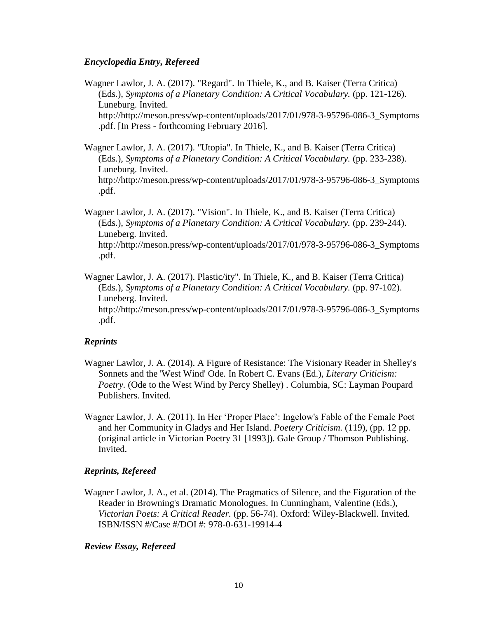### *Encyclopedia Entry, Refereed*

Wagner Lawlor, J. A. (2017). "Regard". In Thiele, K., and B. Kaiser (Terra Critica) (Eds.), *Symptoms of a Planetary Condition: A Critical Vocabulary.* (pp. 121-126). Luneburg. Invited. http://http://meson.press/wp-content/uploads/2017/01/978-3-95796-086-3\_Symptoms .pdf. [In Press - forthcoming February 2016].

Wagner Lawlor, J. A. (2017). "Utopia". In Thiele, K., and B. Kaiser (Terra Critica) (Eds.), *Symptoms of a Planetary Condition: A Critical Vocabulary.* (pp. 233-238). Luneburg. Invited. http://http://meson.press/wp-content/uploads/2017/01/978-3-95796-086-3\_Symptoms .pdf.

Wagner Lawlor, J. A. (2017). "Vision". In Thiele, K., and B. Kaiser (Terra Critica) (Eds.), *Symptoms of a Planetary Condition: A Critical Vocabulary.* (pp. 239-244). Luneberg. Invited. http://http://meson.press/wp-content/uploads/2017/01/978-3-95796-086-3\_Symptoms .pdf.

Wagner Lawlor, J. A. (2017). Plastic/ity". In Thiele, K., and B. Kaiser (Terra Critica) (Eds.), *Symptoms of a Planetary Condition: A Critical Vocabulary.* (pp. 97-102). Luneberg. Invited. http://http://meson.press/wp-content/uploads/2017/01/978-3-95796-086-3\_Symptoms .pdf.

## *Reprints*

- Wagner Lawlor, J. A. (2014). A Figure of Resistance: The Visionary Reader in Shelley's Sonnets and the 'West Wind' Ode. In Robert C. Evans (Ed.), *Literary Criticism: Poetry.* (Ode to the West Wind by Percy Shelley) . Columbia, SC: Layman Poupard Publishers. Invited.
- Wagner Lawlor, J. A. (2011). In Her 'Proper Place': Ingelow's Fable of the Female Poet and her Community in Gladys and Her Island. *Poetery Criticism.* (119), (pp. 12 pp. (original article in Victorian Poetry 31 [1993]). Gale Group / Thomson Publishing. Invited.

# *Reprints, Refereed*

Wagner Lawlor, J. A., et al. (2014). The Pragmatics of Silence, and the Figuration of the Reader in Browning's Dramatic Monologues. In Cunningham, Valentine (Eds.), *Victorian Poets: A Critical Reader.* (pp. 56-74). Oxford: Wiley-Blackwell. Invited. ISBN/ISSN #/Case #/DOI #: 978-0-631-19914-4

## *Review Essay, Refereed*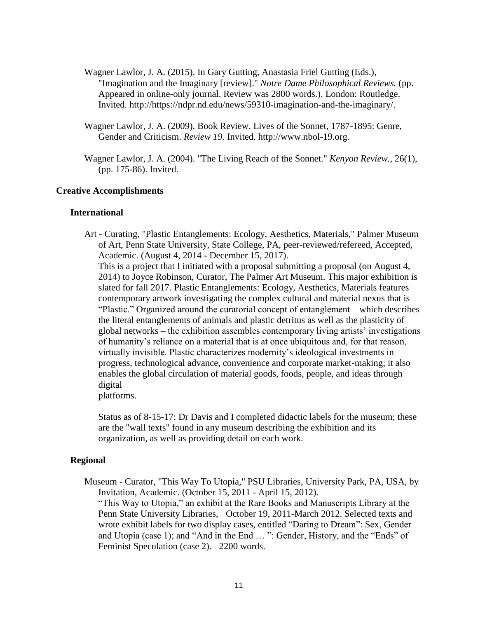- Wagner Lawlor, J. A. (2015). In Gary Gutting, Anastasia Friel Gutting (Eds.), "Imagination and the Imaginary [review]." *Notre Dame Philosophical Reviews.* (pp. Appeared in online-only journal. Review was 2800 words.). London: Routledge. Invited. http://https://ndpr.nd.edu/news/59310-imagination-and-the-imaginary/.
- Wagner Lawlor, J. A. (2009). Book Review. Lives of the Sonnet, 1787-1895: Genre, Gender and Criticism. *Review 19.* Invited. http://www.nbol-19.org.
- Wagner Lawlor, J. A. (2004). "The Living Reach of the Sonnet." *Kenyon Review.*, 26(1), (pp. 175-86). Invited.

#### **Creative Accomplishments**

#### **International**

Art - Curating, "Plastic Entanglements: Ecology, Aesthetics, Materials," Palmer Museum of Art, Penn State University, State College, PA, peer-reviewed/refereed, Accepted, Academic. (August 4, 2014 - December 15, 2017). This is a project that I initiated with a proposal submitting a proposal (on August 4, 2014) to Joyce Robinson, Curator, The Palmer Art Museum. This major exhibition is slated for fall 2017. Plastic Entanglements: Ecology, Aesthetics, Materials features contemporary artwork investigating the complex cultural and material nexus that is "Plastic." Organized around the curatorial concept of entanglement – which describes the literal entanglements of animals and plastic detritus as well as the plasticity of global networks – the exhibition assembles contemporary living artists' investigations of humanity's reliance on a material that is at once ubiquitous and, for that reason, virtually invisible. Plastic characterizes modernity's ideological investments in progress, technological advance, convenience and corporate market-making; it also enables the global circulation of material goods, foods, people, and ideas through digital platforms.

Status as of 8-15-17: Dr Davis and I completed didactic labels for the museum; these are the "wall texts" found in any museum describing the exhibition and its organization, as well as providing detail on each work.

## **Regional**

Museum - Curator, "This Way To Utopia," PSU Libraries, University Park, PA, USA, by Invitation, Academic. (October 15, 2011 - April 15, 2012). "This Way to Utopia," an exhibit at the Rare Books and Manuscripts Library at the Penn State University Libraries, October 19, 2011-March 2012. Selected texts and wrote exhibit labels for two display cases, entitled "Daring to Dream": Sex, Gender and Utopia (case 1); and "And in the End … ": Gender, History, and the "Ends" of Feminist Speculation (case 2). 2200 words.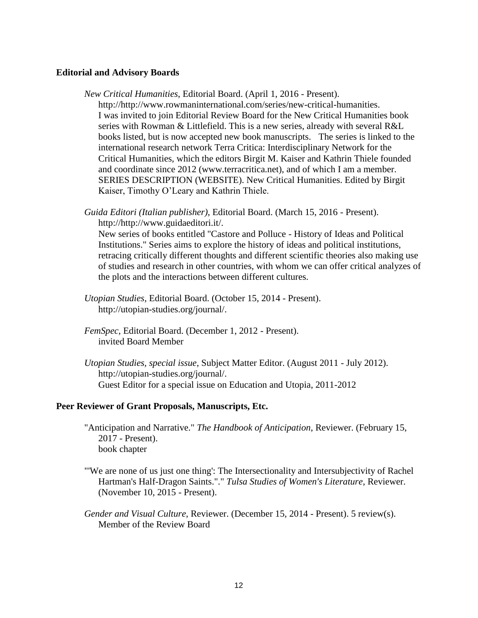### **Editorial and Advisory Boards**

*New Critical Humanities*, Editorial Board. (April 1, 2016 - Present).

http://http://www.rowmaninternational.com/series/new-critical-humanities. I was invited to join Editorial Review Board for the New Critical Humanities book series with Rowman & Littlefield. This is a new series, already with several R&L books listed, but is now accepted new book manuscripts. The series is linked to the international research network Terra Critica: Interdisciplinary Network for the Critical Humanities, which the editors Birgit M. Kaiser and Kathrin Thiele founded and coordinate since 2012 (www.terracritica.net), and of which I am a member. SERIES DESCRIPTION (WEBSITE). New Critical Humanities. Edited by Birgit Kaiser, Timothy O'Leary and Kathrin Thiele.

*Guida Editori (Italian publisher)*, Editorial Board. (March 15, 2016 - Present). http://http://www.guidaeditori.it/.

New series of books entitled "Castore and Polluce - History of Ideas and Political Institutions." Series aims to explore the history of ideas and political institutions, retracing critically different thoughts and different scientific theories also making use of studies and research in other countries, with whom we can offer critical analyzes of the plots and the interactions between different cultures.

- *Utopian Studies*, Editorial Board. (October 15, 2014 Present). http://utopian-studies.org/journal/.
- *FemSpec*, Editorial Board. (December 1, 2012 Present). invited Board Member
- *Utopian Studies, special issue*, Subject Matter Editor. (August 2011 July 2012). http://utopian-studies.org/journal/. Guest Editor for a special issue on Education and Utopia, 2011-2012

#### **Peer Reviewer of Grant Proposals, Manuscripts, Etc.**

- "Anticipation and Narrative." *The Handbook of Anticipation*, Reviewer. (February 15, 2017 - Present). book chapter
- "'We are none of us just one thing': The Intersectionality and Intersubjectivity of Rachel Hartman's Half-Dragon Saints."." *Tulsa Studies of Women's Literature*, Reviewer. (November 10, 2015 - Present).
- *Gender and Visual Culture*, Reviewer. (December 15, 2014 Present). 5 review(s). Member of the Review Board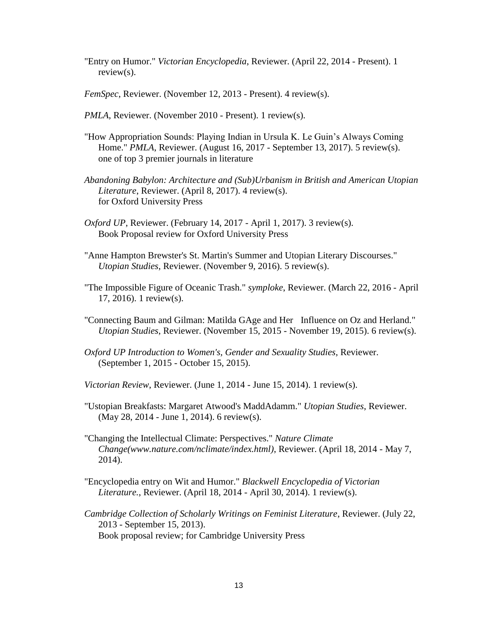- "Entry on Humor." *Victorian Encyclopedia*, Reviewer. (April 22, 2014 Present). 1 review(s).
- *FemSpec*, Reviewer. (November 12, 2013 Present). 4 review(s).
- *PMLA*, Reviewer. (November 2010 Present). 1 review(s).
- "How Appropriation Sounds: Playing Indian in Ursula K. Le Guin's Always Coming Home." *PMLA*, Reviewer. (August 16, 2017 - September 13, 2017). 5 review(s). one of top 3 premier journals in literature
- *Abandoning Babylon: Architecture and (Sub)Urbanism in British and American Utopian Literature*, Reviewer. (April 8, 2017). 4 review(s). for Oxford University Press
- *Oxford UP*, Reviewer. (February 14, 2017 April 1, 2017). 3 review(s). Book Proposal review for Oxford University Press
- "Anne Hampton Brewster's St. Martin's Summer and Utopian Literary Discourses." *Utopian Studies*, Reviewer. (November 9, 2016). 5 review(s).
- "The Impossible Figure of Oceanic Trash." *symploke*, Reviewer. (March 22, 2016 April 17, 2016). 1 review(s).
- "Connecting Baum and Gilman: Matilda GAge and Her Influence on Oz and Herland." *Utopian Studies*, Reviewer. (November 15, 2015 - November 19, 2015). 6 review(s).
- *Oxford UP Introduction to Women's, Gender and Sexuality Studies*, Reviewer. (September 1, 2015 - October 15, 2015).
- *Victorian Review*, Reviewer. (June 1, 2014 June 15, 2014). 1 review(s).
- "Ustopian Breakfasts: Margaret Atwood's MaddAdamm." *Utopian Studies*, Reviewer. (May 28, 2014 - June 1, 2014). 6 review(s).
- "Changing the Intellectual Climate: Perspectives." *Nature Climate Change(www.nature.com/nclimate/index.html)*, Reviewer. (April 18, 2014 - May 7, 2014).
- "Encyclopedia entry on Wit and Humor." *Blackwell Encyclopedia of Victorian Literature.*, Reviewer. (April 18, 2014 - April 30, 2014). 1 review(s).
- *Cambridge Collection of Scholarly Writings on Feminist Literature*, Reviewer. (July 22, 2013 - September 15, 2013). Book proposal review; for Cambridge University Press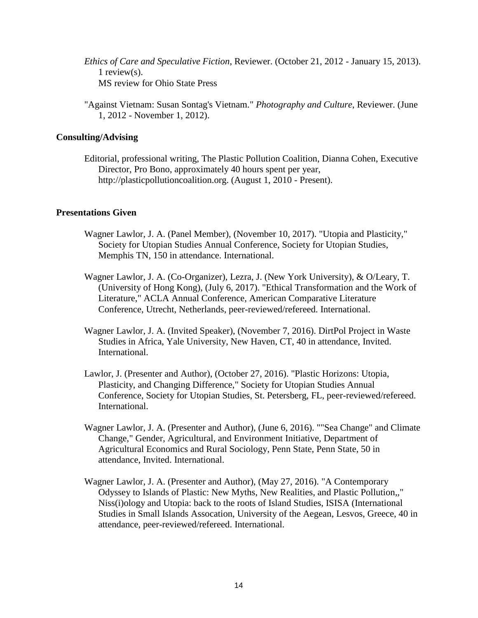- *Ethics of Care and Speculative Fiction*, Reviewer. (October 21, 2012 January 15, 2013). 1 review(s). MS review for Ohio State Press
- "Against Vietnam: Susan Sontag's Vietnam." *Photography and Culture*, Reviewer. (June 1, 2012 - November 1, 2012).

### **Consulting/Advising**

Editorial, professional writing, The Plastic Pollution Coalition, Dianna Cohen, Executive Director, Pro Bono, approximately 40 hours spent per year, http://plasticpollutioncoalition.org. (August 1, 2010 - Present).

### **Presentations Given**

- Wagner Lawlor, J. A. (Panel Member), (November 10, 2017). "Utopia and Plasticity," Society for Utopian Studies Annual Conference, Society for Utopian Studies, Memphis TN, 150 in attendance. International.
- Wagner Lawlor, J. A. (Co-Organizer), Lezra, J. (New York University), & O/Leary, T. (University of Hong Kong), (July 6, 2017). "Ethical Transformation and the Work of Literature," ACLA Annual Conference, American Comparative Literature Conference, Utrecht, Netherlands, peer-reviewed/refereed. International.
- Wagner Lawlor, J. A. (Invited Speaker), (November 7, 2016). DirtPol Project in Waste Studies in Africa, Yale University, New Haven, CT, 40 in attendance, Invited. International.
- Lawlor, J. (Presenter and Author), (October 27, 2016). "Plastic Horizons: Utopia, Plasticity, and Changing Difference," Society for Utopian Studies Annual Conference, Society for Utopian Studies, St. Petersberg, FL, peer-reviewed/refereed. International.
- Wagner Lawlor, J. A. (Presenter and Author), (June 6, 2016). ""Sea Change" and Climate Change," Gender, Agricultural, and Environment Initiative, Department of Agricultural Economics and Rural Sociology, Penn State, Penn State, 50 in attendance, Invited. International.
- Wagner Lawlor, J. A. (Presenter and Author), (May 27, 2016). "A Contemporary Odyssey to Islands of Plastic: New Myths, New Realities, and Plastic Pollution,," Niss(i)ology and Utopia: back to the roots of Island Studies, ISISA (International Studies in Small Islands Assocation, University of the Aegean, Lesvos, Greece, 40 in attendance, peer-reviewed/refereed. International.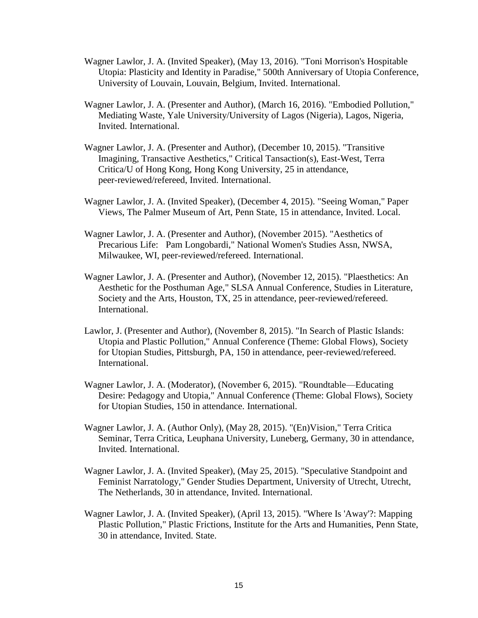- Wagner Lawlor, J. A. (Invited Speaker), (May 13, 2016). "Toni Morrison's Hospitable Utopia: Plasticity and Identity in Paradise," 500th Anniversary of Utopia Conference, University of Louvain, Louvain, Belgium, Invited. International.
- Wagner Lawlor, J. A. (Presenter and Author), (March 16, 2016). "Embodied Pollution," Mediating Waste, Yale University/University of Lagos (Nigeria), Lagos, Nigeria, Invited. International.
- Wagner Lawlor, J. A. (Presenter and Author), (December 10, 2015). "Transitive Imagining, Transactive Aesthetics," Critical Tansaction(s), East-West, Terra Critica/U of Hong Kong, Hong Kong University, 25 in attendance, peer-reviewed/refereed, Invited. International.
- Wagner Lawlor, J. A. (Invited Speaker), (December 4, 2015). "Seeing Woman," Paper Views, The Palmer Museum of Art, Penn State, 15 in attendance, Invited. Local.
- Wagner Lawlor, J. A. (Presenter and Author), (November 2015). "Aesthetics of Precarious Life: Pam Longobardi," National Women's Studies Assn, NWSA, Milwaukee, WI, peer-reviewed/refereed. International.
- Wagner Lawlor, J. A. (Presenter and Author), (November 12, 2015). "Plaesthetics: An Aesthetic for the Posthuman Age," SLSA Annual Conference, Studies in Literature, Society and the Arts, Houston, TX, 25 in attendance, peer-reviewed/refereed. International.
- Lawlor, J. (Presenter and Author), (November 8, 2015). "In Search of Plastic Islands: Utopia and Plastic Pollution," Annual Conference (Theme: Global Flows), Society for Utopian Studies, Pittsburgh, PA, 150 in attendance, peer-reviewed/refereed. International.
- Wagner Lawlor, J. A. (Moderator), (November 6, 2015). "Roundtable—Educating Desire: Pedagogy and Utopia," Annual Conference (Theme: Global Flows), Society for Utopian Studies, 150 in attendance. International.
- Wagner Lawlor, J. A. (Author Only), (May 28, 2015). "(En)Vision," Terra Critica Seminar, Terra Critica, Leuphana University, Luneberg, Germany, 30 in attendance, Invited. International.
- Wagner Lawlor, J. A. (Invited Speaker), (May 25, 2015). "Speculative Standpoint and Feminist Narratology," Gender Studies Department, University of Utrecht, Utrecht, The Netherlands, 30 in attendance, Invited. International.
- Wagner Lawlor, J. A. (Invited Speaker), (April 13, 2015). "Where Is 'Away'?: Mapping Plastic Pollution," Plastic Frictions, Institute for the Arts and Humanities, Penn State, 30 in attendance, Invited. State.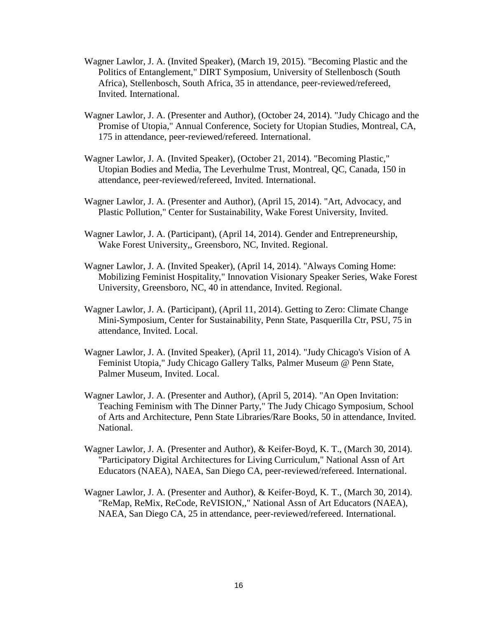- Wagner Lawlor, J. A. (Invited Speaker), (March 19, 2015). "Becoming Plastic and the Politics of Entanglement," DIRT Symposium, University of Stellenbosch (South Africa), Stellenbosch, South Africa, 35 in attendance, peer-reviewed/refereed, Invited. International.
- Wagner Lawlor, J. A. (Presenter and Author), (October 24, 2014). "Judy Chicago and the Promise of Utopia," Annual Conference, Society for Utopian Studies, Montreal, CA, 175 in attendance, peer-reviewed/refereed. International.
- Wagner Lawlor, J. A. (Invited Speaker), (October 21, 2014). "Becoming Plastic," Utopian Bodies and Media, The Leverhulme Trust, Montreal, QC, Canada, 150 in attendance, peer-reviewed/refereed, Invited. International.
- Wagner Lawlor, J. A. (Presenter and Author), (April 15, 2014). "Art, Advocacy, and Plastic Pollution," Center for Sustainability, Wake Forest University, Invited.
- Wagner Lawlor, J. A. (Participant), (April 14, 2014). Gender and Entrepreneurship, Wake Forest University,, Greensboro, NC, Invited. Regional.
- Wagner Lawlor, J. A. (Invited Speaker), (April 14, 2014). "Always Coming Home: Mobilizing Feminist Hospitality," Innovation Visionary Speaker Series, Wake Forest University, Greensboro, NC, 40 in attendance, Invited. Regional.
- Wagner Lawlor, J. A. (Participant), (April 11, 2014). Getting to Zero: Climate Change Mini-Symposium, Center for Sustainability, Penn State, Pasquerilla Ctr, PSU, 75 in attendance, Invited. Local.
- Wagner Lawlor, J. A. (Invited Speaker), (April 11, 2014). "Judy Chicago's Vision of A Feminist Utopia," Judy Chicago Gallery Talks, Palmer Museum @ Penn State, Palmer Museum, Invited. Local.
- Wagner Lawlor, J. A. (Presenter and Author), (April 5, 2014). "An Open Invitation: Teaching Feminism with The Dinner Party," The Judy Chicago Symposium, School of Arts and Architecture, Penn State Libraries/Rare Books, 50 in attendance, Invited. National.
- Wagner Lawlor, J. A. (Presenter and Author), & Keifer-Boyd, K. T., (March 30, 2014). "Participatory Digital Architectures for Living Curriculum," National Assn of Art Educators (NAEA), NAEA, San Diego CA, peer-reviewed/refereed. International.
- Wagner Lawlor, J. A. (Presenter and Author), & Keifer-Boyd, K. T., (March 30, 2014). "ReMap, ReMix, ReCode, ReVISION,," National Assn of Art Educators (NAEA), NAEA, San Diego CA, 25 in attendance, peer-reviewed/refereed. International.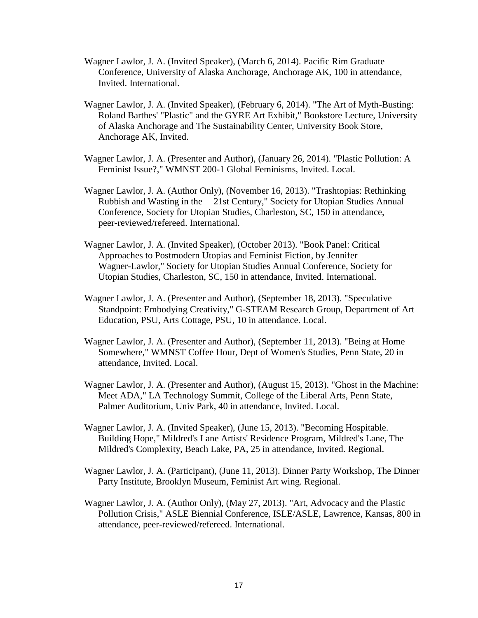- Wagner Lawlor, J. A. (Invited Speaker), (March 6, 2014). Pacific Rim Graduate Conference, University of Alaska Anchorage, Anchorage AK, 100 in attendance, Invited. International.
- Wagner Lawlor, J. A. (Invited Speaker), (February 6, 2014). "The Art of Myth-Busting: Roland Barthes' "Plastic" and the GYRE Art Exhibit," Bookstore Lecture, University of Alaska Anchorage and The Sustainability Center, University Book Store, Anchorage AK, Invited.
- Wagner Lawlor, J. A. (Presenter and Author), (January 26, 2014). "Plastic Pollution: A Feminist Issue?," WMNST 200-1 Global Feminisms, Invited. Local.
- Wagner Lawlor, J. A. (Author Only), (November 16, 2013). "Trashtopias: Rethinking Rubbish and Wasting in the 21st Century," Society for Utopian Studies Annual Conference, Society for Utopian Studies, Charleston, SC, 150 in attendance, peer-reviewed/refereed. International.
- Wagner Lawlor, J. A. (Invited Speaker), (October 2013). "Book Panel: Critical Approaches to Postmodern Utopias and Feminist Fiction, by Jennifer Wagner-Lawlor," Society for Utopian Studies Annual Conference, Society for Utopian Studies, Charleston, SC, 150 in attendance, Invited. International.
- Wagner Lawlor, J. A. (Presenter and Author), (September 18, 2013). "Speculative Standpoint: Embodying Creativity," G-STEAM Research Group, Department of Art Education, PSU, Arts Cottage, PSU, 10 in attendance. Local.
- Wagner Lawlor, J. A. (Presenter and Author), (September 11, 2013). "Being at Home Somewhere," WMNST Coffee Hour, Dept of Women's Studies, Penn State, 20 in attendance, Invited. Local.
- Wagner Lawlor, J. A. (Presenter and Author), (August 15, 2013). "Ghost in the Machine: Meet ADA," LA Technology Summit, College of the Liberal Arts, Penn State, Palmer Auditorium, Univ Park, 40 in attendance, Invited. Local.
- Wagner Lawlor, J. A. (Invited Speaker), (June 15, 2013). "Becoming Hospitable. Building Hope," Mildred's Lane Artists' Residence Program, Mildred's Lane, The Mildred's Complexity, Beach Lake, PA, 25 in attendance, Invited. Regional.
- Wagner Lawlor, J. A. (Participant), (June 11, 2013). Dinner Party Workshop, The Dinner Party Institute, Brooklyn Museum, Feminist Art wing. Regional.
- Wagner Lawlor, J. A. (Author Only), (May 27, 2013). "Art, Advocacy and the Plastic Pollution Crisis," ASLE Biennial Conference, ISLE/ASLE, Lawrence, Kansas, 800 in attendance, peer-reviewed/refereed. International.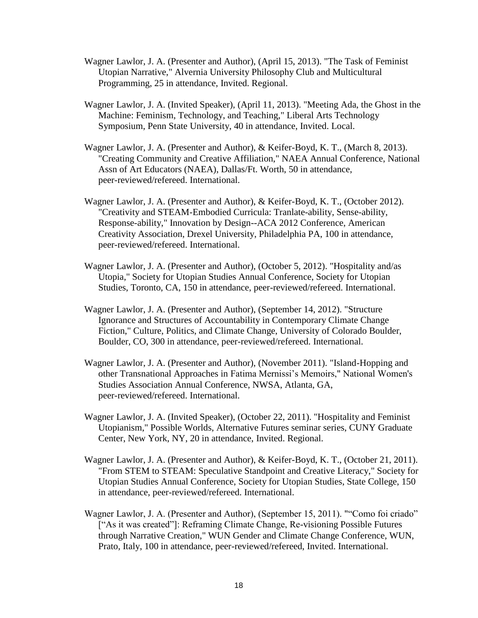- Wagner Lawlor, J. A. (Presenter and Author), (April 15, 2013). "The Task of Feminist Utopian Narrative," Alvernia University Philosophy Club and Multicultural Programming, 25 in attendance, Invited. Regional.
- Wagner Lawlor, J. A. (Invited Speaker), (April 11, 2013). "Meeting Ada, the Ghost in the Machine: Feminism, Technology, and Teaching," Liberal Arts Technology Symposium, Penn State University, 40 in attendance, Invited. Local.
- Wagner Lawlor, J. A. (Presenter and Author), & Keifer-Boyd, K. T., (March 8, 2013). "Creating Community and Creative Affiliation," NAEA Annual Conference, National Assn of Art Educators (NAEA), Dallas/Ft. Worth, 50 in attendance, peer-reviewed/refereed. International.
- Wagner Lawlor, J. A. (Presenter and Author), & Keifer-Boyd, K. T., (October 2012). "Creativity and STEAM-Embodied Curricula: Tranlate-ability, Sense-ability, Response-ability," Innovation by Design--ACA 2012 Conference, American Creativity Association, Drexel University, Philadelphia PA, 100 in attendance, peer-reviewed/refereed. International.
- Wagner Lawlor, J. A. (Presenter and Author), (October 5, 2012). "Hospitality and/as Utopia," Society for Utopian Studies Annual Conference, Society for Utopian Studies, Toronto, CA, 150 in attendance, peer-reviewed/refereed. International.
- Wagner Lawlor, J. A. (Presenter and Author), (September 14, 2012). "Structure Ignorance and Structures of Accountability in Contemporary Climate Change Fiction," Culture, Politics, and Climate Change, University of Colorado Boulder, Boulder, CO, 300 in attendance, peer-reviewed/refereed. International.
- Wagner Lawlor, J. A. (Presenter and Author), (November 2011). "Island-Hopping and other Transnational Approaches in Fatima Mernissi's Memoirs," National Women's Studies Association Annual Conference, NWSA, Atlanta, GA, peer-reviewed/refereed. International.
- Wagner Lawlor, J. A. (Invited Speaker), (October 22, 2011). "Hospitality and Feminist Utopianism," Possible Worlds, Alternative Futures seminar series, CUNY Graduate Center, New York, NY, 20 in attendance, Invited. Regional.
- Wagner Lawlor, J. A. (Presenter and Author), & Keifer-Boyd, K. T., (October 21, 2011). "From STEM to STEAM: Speculative Standpoint and Creative Literacy," Society for Utopian Studies Annual Conference, Society for Utopian Studies, State College, 150 in attendance, peer-reviewed/refereed. International.
- Wagner Lawlor, J. A. (Presenter and Author), (September 15, 2011). ""Como foi criado" ["As it was created"]: Reframing Climate Change, Re-visioning Possible Futures through Narrative Creation," WUN Gender and Climate Change Conference, WUN, Prato, Italy, 100 in attendance, peer-reviewed/refereed, Invited. International.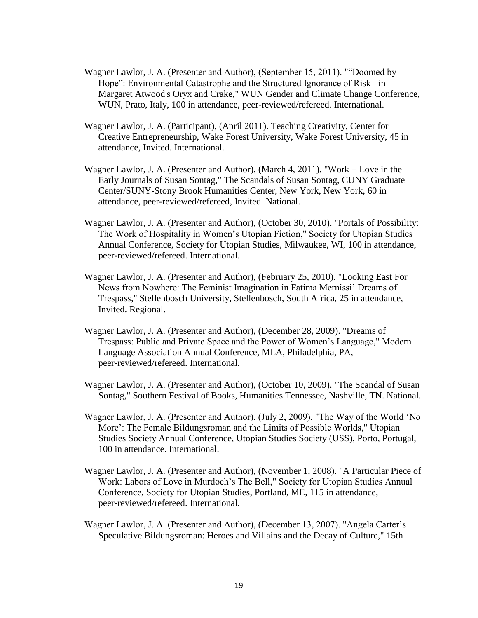- Wagner Lawlor, J. A. (Presenter and Author), (September 15, 2011). ""Doomed by Hope": Environmental Catastrophe and the Structured Ignorance of Risk in Margaret Atwood's Oryx and Crake," WUN Gender and Climate Change Conference, WUN, Prato, Italy, 100 in attendance, peer-reviewed/refereed. International.
- Wagner Lawlor, J. A. (Participant), (April 2011). Teaching Creativity, Center for Creative Entrepreneurship, Wake Forest University, Wake Forest University, 45 in attendance, Invited. International.
- Wagner Lawlor, J. A. (Presenter and Author), (March 4, 2011). "Work + Love in the Early Journals of Susan Sontag," The Scandals of Susan Sontag, CUNY Graduate Center/SUNY-Stony Brook Humanities Center, New York, New York, 60 in attendance, peer-reviewed/refereed, Invited. National.
- Wagner Lawlor, J. A. (Presenter and Author), (October 30, 2010). "Portals of Possibility: The Work of Hospitality in Women's Utopian Fiction," Society for Utopian Studies Annual Conference, Society for Utopian Studies, Milwaukee, WI, 100 in attendance, peer-reviewed/refereed. International.
- Wagner Lawlor, J. A. (Presenter and Author), (February 25, 2010). "Looking East For News from Nowhere: The Feminist Imagination in Fatima Mernissi' Dreams of Trespass," Stellenbosch University, Stellenbosch, South Africa, 25 in attendance, Invited. Regional.
- Wagner Lawlor, J. A. (Presenter and Author), (December 28, 2009). "Dreams of Trespass: Public and Private Space and the Power of Women's Language," Modern Language Association Annual Conference, MLA, Philadelphia, PA, peer-reviewed/refereed. International.
- Wagner Lawlor, J. A. (Presenter and Author), (October 10, 2009). "The Scandal of Susan Sontag," Southern Festival of Books, Humanities Tennessee, Nashville, TN. National.
- Wagner Lawlor, J. A. (Presenter and Author), (July 2, 2009). "The Way of the World 'No More': The Female Bildungsroman and the Limits of Possible Worlds," Utopian Studies Society Annual Conference, Utopian Studies Society (USS), Porto, Portugal, 100 in attendance. International.
- Wagner Lawlor, J. A. (Presenter and Author), (November 1, 2008). "A Particular Piece of Work: Labors of Love in Murdoch's The Bell," Society for Utopian Studies Annual Conference, Society for Utopian Studies, Portland, ME, 115 in attendance, peer-reviewed/refereed. International.
- Wagner Lawlor, J. A. (Presenter and Author), (December 13, 2007). "Angela Carter's Speculative Bildungsroman: Heroes and Villains and the Decay of Culture," 15th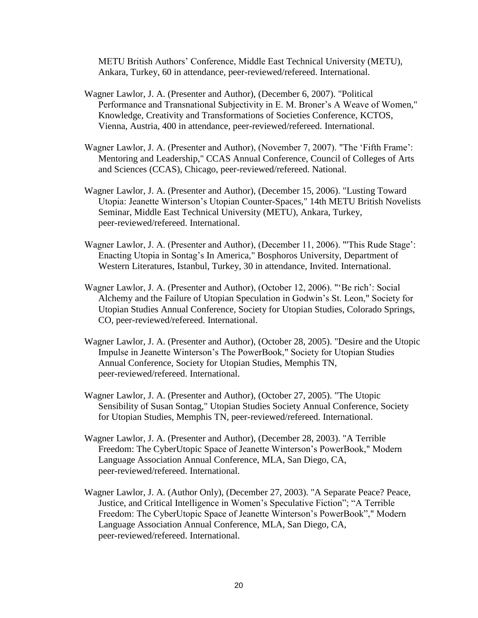METU British Authors' Conference, Middle East Technical University (METU), Ankara, Turkey, 60 in attendance, peer-reviewed/refereed. International.

- Wagner Lawlor, J. A. (Presenter and Author), (December 6, 2007). "Political Performance and Transnational Subjectivity in E. M. Broner's A Weave of Women," Knowledge, Creativity and Transformations of Societies Conference, KCTOS, Vienna, Austria, 400 in attendance, peer-reviewed/refereed. International.
- Wagner Lawlor, J. A. (Presenter and Author), (November 7, 2007). "The 'Fifth Frame': Mentoring and Leadership," CCAS Annual Conference, Council of Colleges of Arts and Sciences (CCAS), Chicago, peer-reviewed/refereed. National.
- Wagner Lawlor, J. A. (Presenter and Author), (December 15, 2006). "Lusting Toward Utopia: Jeanette Winterson's Utopian Counter-Spaces," 14th METU British Novelists Seminar, Middle East Technical University (METU), Ankara, Turkey, peer-reviewed/refereed. International.
- Wagner Lawlor, J. A. (Presenter and Author), (December 11, 2006). "'This Rude Stage': Enacting Utopia in Sontag's In America," Bosphoros University, Department of Western Literatures, Istanbul, Turkey, 30 in attendance, Invited. International.
- Wagner Lawlor, J. A. (Presenter and Author), (October 12, 2006). "'Be rich': Social Alchemy and the Failure of Utopian Speculation in Godwin's St. Leon," Society for Utopian Studies Annual Conference, Society for Utopian Studies, Colorado Springs, CO, peer-reviewed/refereed. International.
- Wagner Lawlor, J. A. (Presenter and Author), (October 28, 2005). "Desire and the Utopic Impulse in Jeanette Winterson's The PowerBook," Society for Utopian Studies Annual Conference, Society for Utopian Studies, Memphis TN, peer-reviewed/refereed. International.
- Wagner Lawlor, J. A. (Presenter and Author), (October 27, 2005). "The Utopic Sensibility of Susan Sontag," Utopian Studies Society Annual Conference, Society for Utopian Studies, Memphis TN, peer-reviewed/refereed. International.
- Wagner Lawlor, J. A. (Presenter and Author), (December 28, 2003). "A Terrible Freedom: The CyberUtopic Space of Jeanette Winterson's PowerBook," Modern Language Association Annual Conference, MLA, San Diego, CA, peer-reviewed/refereed. International.
- Wagner Lawlor, J. A. (Author Only), (December 27, 2003). "A Separate Peace? Peace, Justice, and Critical Intelligence in Women's Speculative Fiction"; "A Terrible Freedom: The CyberUtopic Space of Jeanette Winterson's PowerBook"," Modern Language Association Annual Conference, MLA, San Diego, CA, peer-reviewed/refereed. International.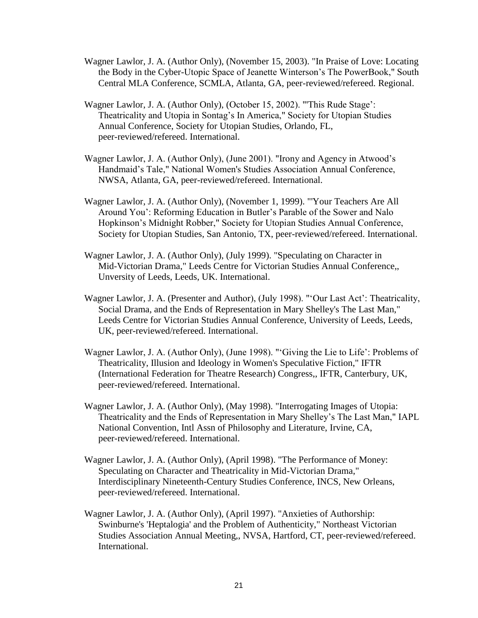- Wagner Lawlor, J. A. (Author Only), (November 15, 2003). "In Praise of Love: Locating the Body in the Cyber-Utopic Space of Jeanette Winterson's The PowerBook," South Central MLA Conference, SCMLA, Atlanta, GA, peer-reviewed/refereed. Regional.
- Wagner Lawlor, J. A. (Author Only), (October 15, 2002). "'This Rude Stage': Theatricality and Utopia in Sontag's In America," Society for Utopian Studies Annual Conference, Society for Utopian Studies, Orlando, FL, peer-reviewed/refereed. International.
- Wagner Lawlor, J. A. (Author Only), (June 2001). "Irony and Agency in Atwood's Handmaid's Tale," National Women's Studies Association Annual Conference, NWSA, Atlanta, GA, peer-reviewed/refereed. International.
- Wagner Lawlor, J. A. (Author Only), (November 1, 1999). "'Your Teachers Are All Around You': Reforming Education in Butler's Parable of the Sower and Nalo Hopkinson's Midnight Robber," Society for Utopian Studies Annual Conference, Society for Utopian Studies, San Antonio, TX, peer-reviewed/refereed. International.
- Wagner Lawlor, J. A. (Author Only), (July 1999). "Speculating on Character in Mid-Victorian Drama," Leeds Centre for Victorian Studies Annual Conference,, Unversity of Leeds, Leeds, UK. International.
- Wagner Lawlor, J. A. (Presenter and Author), (July 1998). "'Our Last Act': Theatricality, Social Drama, and the Ends of Representation in Mary Shelley's The Last Man," Leeds Centre for Victorian Studies Annual Conference, University of Leeds, Leeds, UK, peer-reviewed/refereed. International.
- Wagner Lawlor, J. A. (Author Only), (June 1998). "'Giving the Lie to Life': Problems of Theatricality, Illusion and Ideology in Women's Speculative Fiction," IFTR (International Federation for Theatre Research) Congress,, IFTR, Canterbury, UK, peer-reviewed/refereed. International.
- Wagner Lawlor, J. A. (Author Only), (May 1998). "Interrogating Images of Utopia: Theatricality and the Ends of Representation in Mary Shelley's The Last Man," IAPL National Convention, Intl Assn of Philosophy and Literature, Irvine, CA, peer-reviewed/refereed. International.
- Wagner Lawlor, J. A. (Author Only), (April 1998). "The Performance of Money: Speculating on Character and Theatricality in Mid-Victorian Drama," Interdisciplinary Nineteenth-Century Studies Conference, INCS, New Orleans, peer-reviewed/refereed. International.
- Wagner Lawlor, J. A. (Author Only), (April 1997). "Anxieties of Authorship: Swinburne's 'Heptalogia' and the Problem of Authenticity," Northeast Victorian Studies Association Annual Meeting,, NVSA, Hartford, CT, peer-reviewed/refereed. International.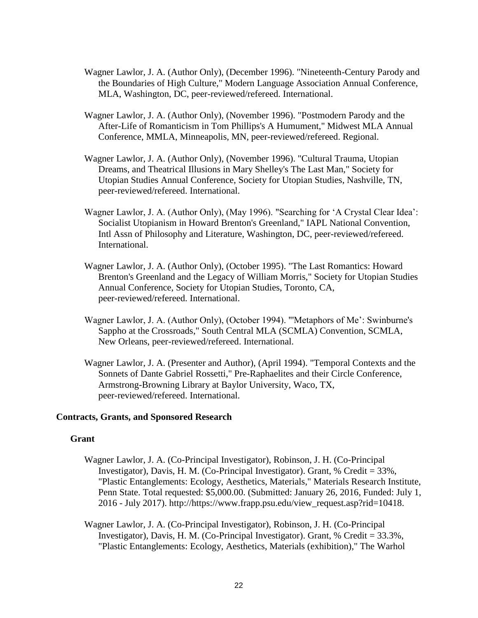- Wagner Lawlor, J. A. (Author Only), (December 1996). "Nineteenth-Century Parody and the Boundaries of High Culture," Modern Language Association Annual Conference, MLA, Washington, DC, peer-reviewed/refereed. International.
- Wagner Lawlor, J. A. (Author Only), (November 1996). "Postmodern Parody and the After-Life of Romanticism in Tom Phillips's A Humument," Midwest MLA Annual Conference, MMLA, Minneapolis, MN, peer-reviewed/refereed. Regional.
- Wagner Lawlor, J. A. (Author Only), (November 1996). "Cultural Trauma, Utopian Dreams, and Theatrical Illusions in Mary Shelley's The Last Man," Society for Utopian Studies Annual Conference, Society for Utopian Studies, Nashville, TN, peer-reviewed/refereed. International.
- Wagner Lawlor, J. A. (Author Only), (May 1996). "Searching for 'A Crystal Clear Idea': Socialist Utopianism in Howard Brenton's Greenland," IAPL National Convention, Intl Assn of Philosophy and Literature, Washington, DC, peer-reviewed/refereed. International.
- Wagner Lawlor, J. A. (Author Only), (October 1995). "The Last Romantics: Howard Brenton's Greenland and the Legacy of William Morris," Society for Utopian Studies Annual Conference, Society for Utopian Studies, Toronto, CA, peer-reviewed/refereed. International.
- Wagner Lawlor, J. A. (Author Only), (October 1994). "'Metaphors of Me': Swinburne's Sappho at the Crossroads," South Central MLA (SCMLA) Convention, SCMLA, New Orleans, peer-reviewed/refereed. International.
- Wagner Lawlor, J. A. (Presenter and Author), (April 1994). "Temporal Contexts and the Sonnets of Dante Gabriel Rossetti," Pre-Raphaelites and their Circle Conference, Armstrong-Browning Library at Baylor University, Waco, TX, peer-reviewed/refereed. International.

#### **Contracts, Grants, and Sponsored Research**

#### **Grant**

- Wagner Lawlor, J. A. (Co-Principal Investigator), Robinson, J. H. (Co-Principal Investigator), Davis, H. M. (Co-Principal Investigator). Grant, % Credit = 33%, "Plastic Entanglements: Ecology, Aesthetics, Materials," Materials Research Institute, Penn State. Total requested: \$5,000.00. (Submitted: January 26, 2016, Funded: July 1, 2016 - July 2017). http://https://www.frapp.psu.edu/view\_request.asp?rid=10418.
- Wagner Lawlor, J. A. (Co-Principal Investigator), Robinson, J. H. (Co-Principal Investigator), Davis, H. M. (Co-Principal Investigator). Grant, % Credit = 33.3%, "Plastic Entanglements: Ecology, Aesthetics, Materials (exhibition)," The Warhol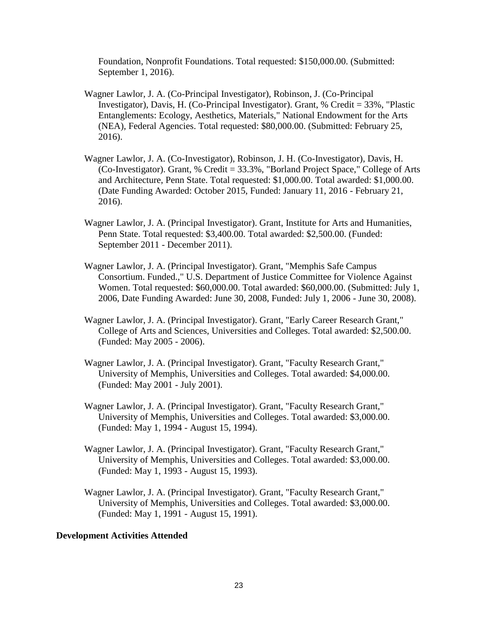Foundation, Nonprofit Foundations. Total requested: \$150,000.00. (Submitted: September 1, 2016).

- Wagner Lawlor, J. A. (Co-Principal Investigator), Robinson, J. (Co-Principal Investigator), Davis, H. (Co-Principal Investigator). Grant, % Credit = 33%, "Plastic Entanglements: Ecology, Aesthetics, Materials," National Endowment for the Arts (NEA), Federal Agencies. Total requested: \$80,000.00. (Submitted: February 25, 2016).
- Wagner Lawlor, J. A. (Co-Investigator), Robinson, J. H. (Co-Investigator), Davis, H. (Co-Investigator). Grant, % Credit = 33.3%, "Borland Project Space," College of Arts and Architecture, Penn State. Total requested: \$1,000.00. Total awarded: \$1,000.00. (Date Funding Awarded: October 2015, Funded: January 11, 2016 - February 21, 2016).
- Wagner Lawlor, J. A. (Principal Investigator). Grant, Institute for Arts and Humanities, Penn State. Total requested: \$3,400.00. Total awarded: \$2,500.00. (Funded: September 2011 - December 2011).
- Wagner Lawlor, J. A. (Principal Investigator). Grant, "Memphis Safe Campus Consortium. Funded.," U.S. Department of Justice Committee for Violence Against Women. Total requested: \$60,000.00. Total awarded: \$60,000.00. (Submitted: July 1, 2006, Date Funding Awarded: June 30, 2008, Funded: July 1, 2006 - June 30, 2008).
- Wagner Lawlor, J. A. (Principal Investigator). Grant, "Early Career Research Grant," College of Arts and Sciences, Universities and Colleges. Total awarded: \$2,500.00. (Funded: May 2005 - 2006).
- Wagner Lawlor, J. A. (Principal Investigator). Grant, "Faculty Research Grant," University of Memphis, Universities and Colleges. Total awarded: \$4,000.00. (Funded: May 2001 - July 2001).
- Wagner Lawlor, J. A. (Principal Investigator). Grant, "Faculty Research Grant," University of Memphis, Universities and Colleges. Total awarded: \$3,000.00. (Funded: May 1, 1994 - August 15, 1994).
- Wagner Lawlor, J. A. (Principal Investigator). Grant, "Faculty Research Grant," University of Memphis, Universities and Colleges. Total awarded: \$3,000.00. (Funded: May 1, 1993 - August 15, 1993).
- Wagner Lawlor, J. A. (Principal Investigator). Grant, "Faculty Research Grant," University of Memphis, Universities and Colleges. Total awarded: \$3,000.00. (Funded: May 1, 1991 - August 15, 1991).

#### **Development Activities Attended**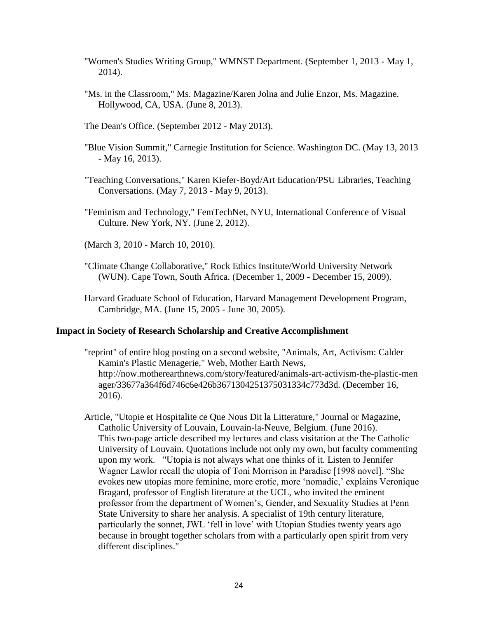- "Women's Studies Writing Group," WMNST Department. (September 1, 2013 May 1, 2014).
- "Ms. in the Classroom," Ms. Magazine/Karen Jolna and Julie Enzor, Ms. Magazine. Hollywood, CA, USA. (June 8, 2013).
- The Dean's Office. (September 2012 May 2013).
- "Blue Vision Summit," Carnegie Institution for Science. Washington DC. (May 13, 2013 - May 16, 2013).
- "Teaching Conversations," Karen Kiefer-Boyd/Art Education/PSU Libraries, Teaching Conversations. (May 7, 2013 - May 9, 2013).
- "Feminism and Technology," FemTechNet, NYU, International Conference of Visual Culture. New York, NY. (June 2, 2012).
- (March 3, 2010 March 10, 2010).
- "Climate Change Collaborative," Rock Ethics Institute/World University Network (WUN). Cape Town, South Africa. (December 1, 2009 - December 15, 2009).
- Harvard Graduate School of Education, Harvard Management Development Program, Cambridge, MA. (June 15, 2005 - June 30, 2005).

#### **Impact in Society of Research Scholarship and Creative Accomplishment**

- "reprint" of entire blog posting on a second website, "Animals, Art, Activism: Calder Kamin's Plastic Menagerie," Web, Mother Earth News, http://now.motherearthnews.com/story/featured/animals-art-activism-the-plastic-men ager/33677a364f6d746c6e426b3671304251375031334c773d3d. (December 16, 2016).
- Article, "Utopie et Hospitalite ce Que Nous Dit la Litterature," Journal or Magazine, Catholic University of Louvain, Louvain-la-Neuve, Belgium. (June 2016). This two-page article described my lectures and class visitation at the The Catholic University of Louvain. Quotations include not only my own, but faculty commenting upon my work. "Utopia is not always what one thinks of it. Listen to Jennifer Wagner Lawlor recall the utopia of Toni Morrison in Paradise [1998 novel]. "She evokes new utopias more feminine, more erotic, more 'nomadic,' explains Veronique Bragard, professor of English literature at the UCL, who invited the eminent professor from the department of Women's, Gender, and Sexuality Studies at Penn State University to share her analysis. A specialist of 19th century literature, particularly the sonnet, JWL 'fell in love' with Utopian Studies twenty years ago because in brought together scholars from with a particularly open spirit from very different disciplines."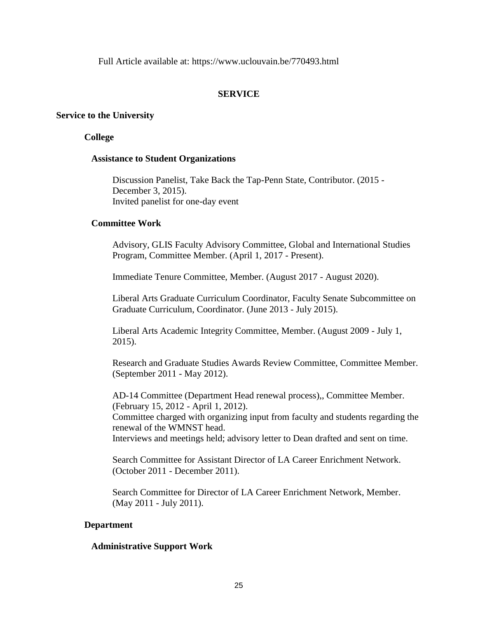Full Article available at: https://www.uclouvain.be/770493.html

# **SERVICE**

## **Service to the University**

## **College**

## **Assistance to Student Organizations**

Discussion Panelist, Take Back the Tap-Penn State, Contributor. (2015 - December 3, 2015). Invited panelist for one-day event

## **Committee Work**

Advisory, GLIS Faculty Advisory Committee, Global and International Studies Program, Committee Member. (April 1, 2017 - Present).

Immediate Tenure Committee, Member. (August 2017 - August 2020).

Liberal Arts Graduate Curriculum Coordinator, Faculty Senate Subcommittee on Graduate Curriculum, Coordinator. (June 2013 - July 2015).

Liberal Arts Academic Integrity Committee, Member. (August 2009 - July 1, 2015).

Research and Graduate Studies Awards Review Committee, Committee Member. (September 2011 - May 2012).

AD-14 Committee (Department Head renewal process),, Committee Member. (February 15, 2012 - April 1, 2012). Committee charged with organizing input from faculty and students regarding the renewal of the WMNST head. Interviews and meetings held; advisory letter to Dean drafted and sent on time.

Search Committee for Assistant Director of LA Career Enrichment Network. (October 2011 - December 2011).

Search Committee for Director of LA Career Enrichment Network, Member. (May 2011 - July 2011).

## **Department**

## **Administrative Support Work**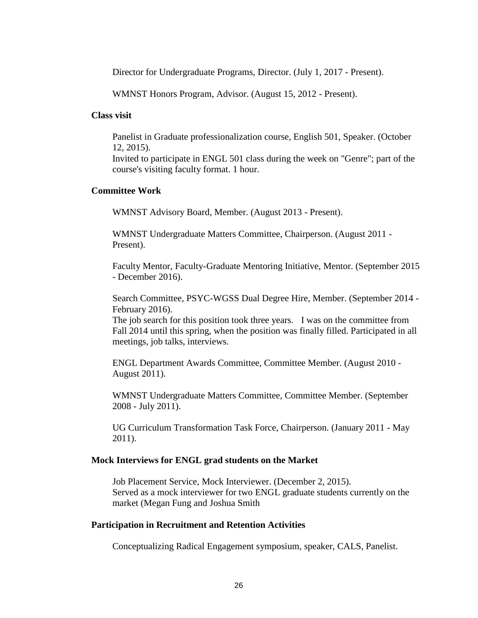Director for Undergraduate Programs, Director. (July 1, 2017 - Present).

WMNST Honors Program, Advisor. (August 15, 2012 - Present).

#### **Class visit**

Panelist in Graduate professionalization course, English 501, Speaker. (October 12, 2015).

Invited to participate in ENGL 501 class during the week on "Genre"; part of the course's visiting faculty format. 1 hour.

### **Committee Work**

WMNST Advisory Board, Member. (August 2013 - Present).

WMNST Undergraduate Matters Committee, Chairperson. (August 2011 - Present).

Faculty Mentor, Faculty-Graduate Mentoring Initiative, Mentor. (September 2015 - December 2016).

Search Committee, PSYC-WGSS Dual Degree Hire, Member. (September 2014 - February 2016).

The job search for this position took three years. I was on the committee from Fall 2014 until this spring, when the position was finally filled. Participated in all meetings, job talks, interviews.

ENGL Department Awards Committee, Committee Member. (August 2010 - August 2011).

WMNST Undergraduate Matters Committee, Committee Member. (September 2008 - July 2011).

UG Curriculum Transformation Task Force, Chairperson. (January 2011 - May 2011).

### **Mock Interviews for ENGL grad students on the Market**

Job Placement Service, Mock Interviewer. (December 2, 2015). Served as a mock interviewer for two ENGL graduate students currently on the market (Megan Fung and Joshua Smith

#### **Participation in Recruitment and Retention Activities**

Conceptualizing Radical Engagement symposium, speaker, CALS, Panelist.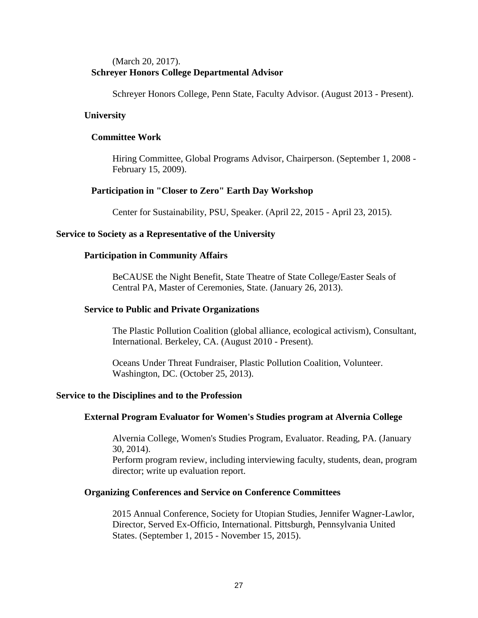# (March 20, 2017). **Schreyer Honors College Departmental Advisor**

Schreyer Honors College, Penn State, Faculty Advisor. (August 2013 - Present).

## **University**

## **Committee Work**

Hiring Committee, Global Programs Advisor, Chairperson. (September 1, 2008 - February 15, 2009).

# **Participation in "Closer to Zero" Earth Day Workshop**

Center for Sustainability, PSU, Speaker. (April 22, 2015 - April 23, 2015).

## **Service to Society as a Representative of the University**

## **Participation in Community Affairs**

BeCAUSE the Night Benefit, State Theatre of State College/Easter Seals of Central PA, Master of Ceremonies, State. (January 26, 2013).

### **Service to Public and Private Organizations**

The Plastic Pollution Coalition (global alliance, ecological activism), Consultant, International. Berkeley, CA. (August 2010 - Present).

Oceans Under Threat Fundraiser, Plastic Pollution Coalition, Volunteer. Washington, DC. (October 25, 2013).

## **Service to the Disciplines and to the Profession**

#### **External Program Evaluator for Women's Studies program at Alvernia College**

Alvernia College, Women's Studies Program, Evaluator. Reading, PA. (January 30, 2014).

Perform program review, including interviewing faculty, students, dean, program director; write up evaluation report.

#### **Organizing Conferences and Service on Conference Committees**

2015 Annual Conference, Society for Utopian Studies, Jennifer Wagner-Lawlor, Director, Served Ex-Officio, International. Pittsburgh, Pennsylvania United States. (September 1, 2015 - November 15, 2015).